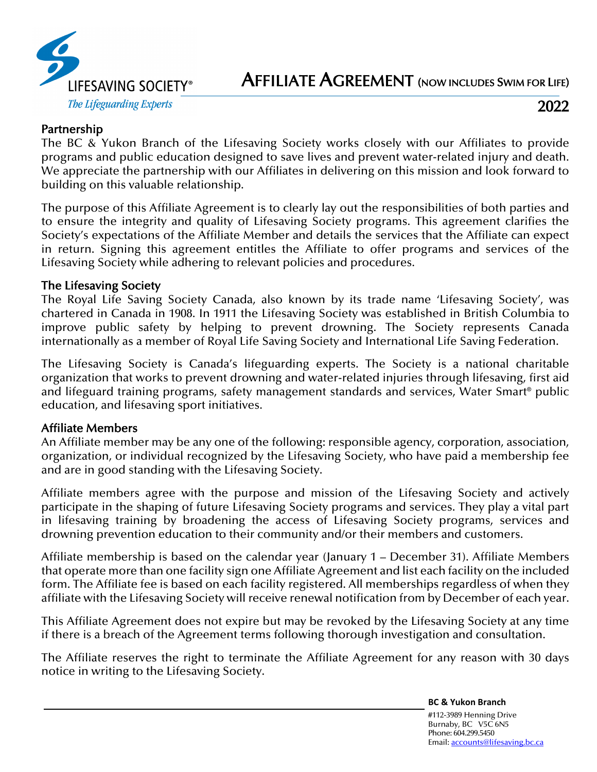

# AFFILIATE AGREEMENT (NOW INCLUDES SWIM FOR LIFE)

2022

#### Partnership

The BC & Yukon Branch of the Lifesaving Society works closely with our Affiliates to provide programs and public education designed to save lives and prevent water-related injury and death. We appreciate the partnership with our Affiliates in delivering on this mission and look forward to building on this valuable relationship.

The purpose of this Affiliate Agreement is to clearly lay out the responsibilities of both parties and to ensure the integrity and quality of Lifesaving Society programs. This agreement clarifies the Society's expectations of the Affiliate Member and details the services that the Affiliate can expect in return. Signing this agreement entitles the Affiliate to offer programs and services of the Lifesaving Society while adhering to relevant policies and procedures.

#### The Lifesaving Society

The Royal Life Saving Society Canada, also known by its trade name 'Lifesaving Society', was chartered in Canada in 1908. In 1911 the Lifesaving Society was established in British Columbia to improve public safety by helping to prevent drowning. The Society represents Canada internationally as a member of Royal Life Saving Society and International Life Saving Federation.

The Lifesaving Society is Canada's lifeguarding experts. The Society is a national charitable organization that works to prevent drowning and water-related injuries through lifesaving, first aid and lifeguard training programs, safety management standards and services, Water Smart® public education, and lifesaving sport initiatives.

#### Affiliate Members

An Affiliate member may be any one of the following: responsible agency, corporation, association, organization, or individual recognized by the Lifesaving Society, who have paid a membership fee and are in good standing with the Lifesaving Society.

Affiliate members agree with the purpose and mission of the Lifesaving Society and actively participate in the shaping of future Lifesaving Society programs and services. They play a vital part in lifesaving training by broadening the access of Lifesaving Society programs, services and drowning prevention education to their community and/or their members and customers.

Affiliate membership is based on the calendar year (January 1 – December 31). Affiliate Members that operate more than one facility sign one Affiliate Agreement and list each facility on the included form. The Affiliate fee is based on each facility registered. All memberships regardless of when they affiliate with the Lifesaving Society will receive renewal notification from by December of each year.

This Affiliate Agreement does not expire but may be revoked by the Lifesaving Society at any time if there is a breach of the Agreement terms following thorough investigation and consultation.

The Affiliate reserves the right to terminate the Affiliate Agreement for any reason with 30 days notice in writing to the Lifesaving Society.

**BC & Yukon Branch**

#112-3989 Henning Drive Burnaby, BC V5C 6N5 Phone: 604.299.5450 Email[: accounts@lifesaving.bc.ca](mailto:accounts@lifesaving.bc.ca)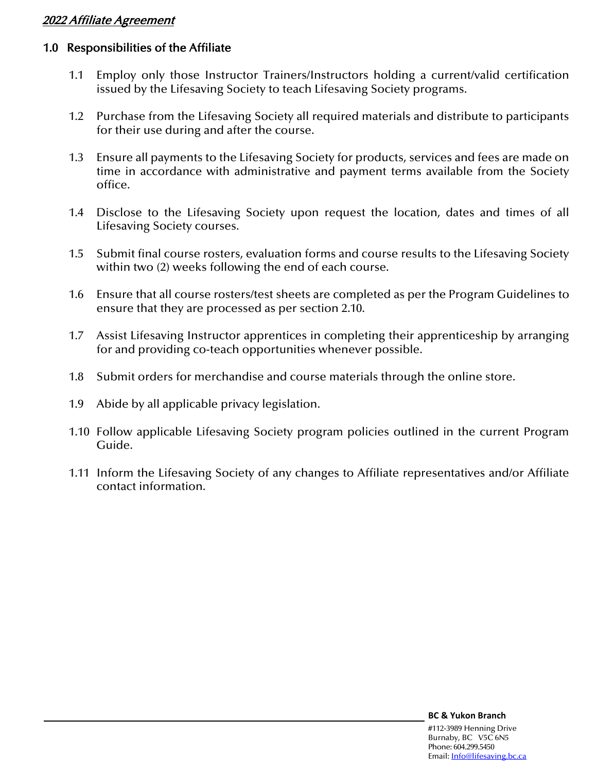#### 1.0 Responsibilities of the Affiliate

- 1.1 Employ only those Instructor Trainers/Instructors holding a current/valid certification issued by the Lifesaving Society to teach Lifesaving Society programs.
- 1.2 Purchase from the Lifesaving Society all required materials and distribute to participants for their use during and after the course.
- 1.3 Ensure all payments to the Lifesaving Society for products, services and fees are made on time in accordance with administrative and payment terms available from the Society office.
- 1.4 Disclose to the Lifesaving Society upon request the location, dates and times of all Lifesaving Society courses.
- 1.5 Submit final course rosters, evaluation forms and course results to the Lifesaving Society within two (2) weeks following the end of each course.
- 1.6 Ensure that all course rosters/test sheets are completed as per the Program Guidelines to ensure that they are processed as per section 2.10.
- 1.7 Assist Lifesaving Instructor apprentices in completing their apprenticeship by arranging for and providing co-teach opportunities whenever possible.
- 1.8 Submit orders for merchandise and course materials through the online store.
- 1.9 Abide by all applicable privacy legislation.
- 1.10 Follow applicable Lifesaving Society program policies outlined in the current Program Guide.
- 1.11 Inform the Lifesaving Society of any changes to Affiliate representatives and/or Affiliate contact information.

Email[: Info@lifesaving.bc.ca](mailto:Info@lifesaving.bc.ca)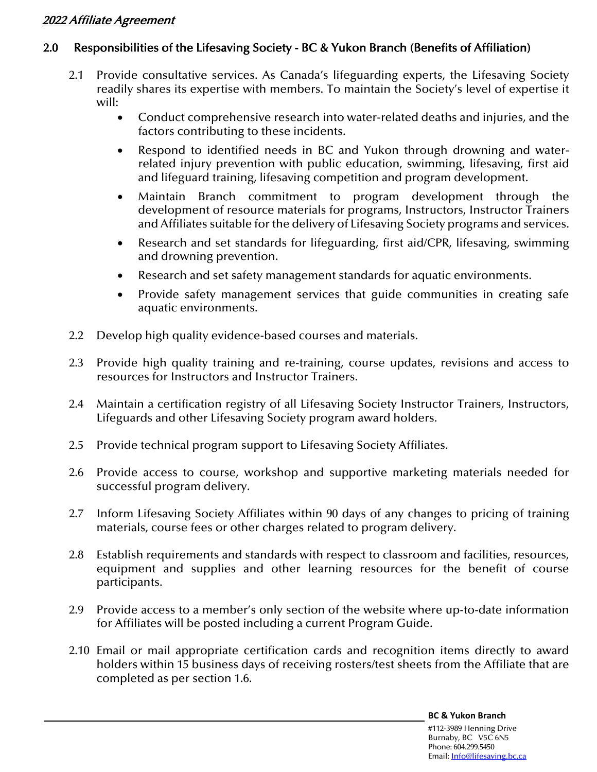#### 2.0 Responsibilities of the Lifesaving Society - BC & Yukon Branch (Benefits of Affiliation)

- 2.1 Provide consultative services. As Canada's lifeguarding experts, the Lifesaving Society readily shares its expertise with members. To maintain the Society's level of expertise it will:
	- Conduct comprehensive research into water-related deaths and injuries, and the factors contributing to these incidents.
	- Respond to identified needs in BC and Yukon through drowning and waterrelated injury prevention with public education, swimming, lifesaving, first aid and lifeguard training, lifesaving competition and program development.
	- Maintain Branch commitment to program development through the development of resource materials for programs, Instructors, Instructor Trainers and Affiliates suitable for the delivery of Lifesaving Society programs and services.
	- Research and set standards for lifeguarding, first aid/CPR, lifesaving, swimming and drowning prevention.
	- Research and set safety management standards for aquatic environments.
	- Provide safety management services that guide communities in creating safe aquatic environments.
- 2.2 Develop high quality evidence-based courses and materials.
- 2.3 Provide high quality training and re-training, course updates, revisions and access to resources for Instructors and Instructor Trainers.
- 2.4 Maintain a certification registry of all Lifesaving Society Instructor Trainers, Instructors, Lifeguards and other Lifesaving Society program award holders.
- 2.5 Provide technical program support to Lifesaving Society Affiliates.
- 2.6 Provide access to course, workshop and supportive marketing materials needed for successful program delivery.
- 2.7 Inform Lifesaving Society Affiliates within 90 days of any changes to pricing of training materials, course fees or other charges related to program delivery.
- 2.8 Establish requirements and standards with respect to classroom and facilities, resources, equipment and supplies and other learning resources for the benefit of course participants.
- 2.9 Provide access to a member's only section of the website where up-to-date information for Affiliates will be posted including a current Program Guide.
- 2.10 Email or mail appropriate certification cards and recognition items directly to award holders within 15 business days of receiving rosters/test sheets from the Affiliate that are completed as per section 1.6.

**BC & Yukon Branch**

#112-3989 Henning Drive Burnaby, BC V5C 6N5 Phone: 604.299.5450 Email[: Info@lifesaving.bc.ca](mailto:Info@lifesaving.bc.ca)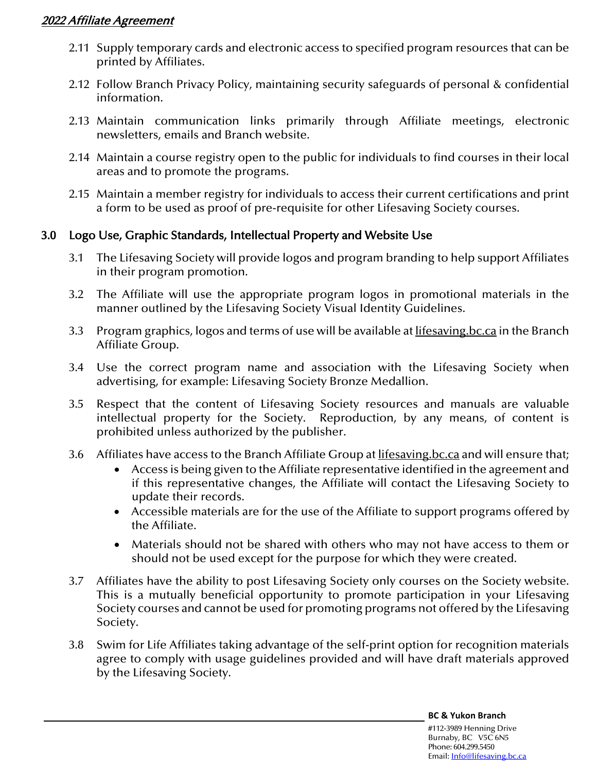- 2.11 Supply temporary cards and electronic access to specified program resources that can be printed by Affiliates.
- 2.12 Follow Branch Privacy Policy, maintaining security safeguards of personal & confidential information.
- 2.13 Maintain communication links primarily through Affiliate meetings, electronic newsletters, emails and Branch website.
- 2.14 Maintain a course registry open to the public for individuals to find courses in their local areas and to promote the programs.
- 2.15 Maintain a member registry for individuals to access their current certifications and print a form to be used as proof of pre-requisite for other Lifesaving Society courses.

#### 3.0 Logo Use, Graphic Standards, Intellectual Property and Website Use

- 3.1 The Lifesaving Society will provide logos and program branding to help support Affiliates in their program promotion.
- 3.2 The Affiliate will use the appropriate program logos in promotional materials in the manner outlined by the Lifesaving Society Visual Identity Guidelines.
- 3.3 Program graphics, logos and terms of use will be available at lifesaving bc.ca in the Branch Affiliate Group.
- 3.4 Use the correct program name and association with the Lifesaving Society when advertising, for example: Lifesaving Society Bronze Medallion.
- 3.5 Respect that the content of Lifesaving Society resources and manuals are valuable intellectual property for the Society. Reproduction, by any means, of content is prohibited unless authorized by the publisher.
- 3.6 Affiliates have access to the Branch Affiliate Group at *lifesaving.bc.ca* and will ensure that;
	- Access is being given to the Affiliate representative identified in the agreement and if this representative changes, the Affiliate will contact the Lifesaving Society to update their records.
	- Accessible materials are for the use of the Affiliate to support programs offered by the Affiliate.
	- Materials should not be shared with others who may not have access to them or should not be used except for the purpose for which they were created.
- 3.7 Affiliates have the ability to post Lifesaving Society only courses on the Society website. This is a mutually beneficial opportunity to promote participation in your Lifesaving Society courses and cannot be used for promoting programs not offered by the Lifesaving Society.
- 3.8 Swim for Life Affiliates taking advantage of the self-print option for recognition materials agree to comply with usage guidelines provided and will have draft materials approved by the Lifesaving Society.

**BC & Yukon Branch**

#112-3989 Henning Drive Burnaby, BC V5C 6N5 Phone: 604.299.5450 Email[: Info@lifesaving.bc.ca](mailto:Info@lifesaving.bc.ca)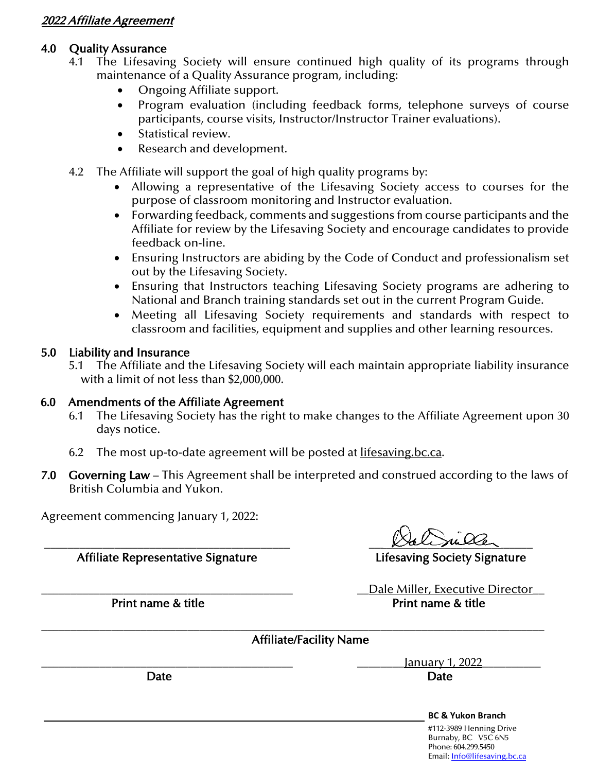## 4.0 Quality Assurance

- 4.1 The Lifesaving Society will ensure continued high quality of its programs through maintenance of a Quality Assurance program, including:
	- Ongoing Affiliate support.
	- Program evaluation (including feedback forms, telephone surveys of course participants, course visits, Instructor/Instructor Trainer evaluations).
	- Statistical review.
	- Research and development.
- 4.2 The Affiliate will support the goal of high quality programs by:
	- Allowing a representative of the Lifesaving Society access to courses for the purpose of classroom monitoring and Instructor evaluation.
	- Forwarding feedback, comments and suggestions from course participants and the Affiliate for review by the Lifesaving Society and encourage candidates to provide feedback on-line.
	- Ensuring Instructors are abiding by the Code of Conduct and professionalism set out by the Lifesaving Society.
	- Ensuring that Instructors teaching Lifesaving Society programs are adhering to National and Branch training standards set out in the current Program Guide.
	- Meeting all Lifesaving Society requirements and standards with respect to classroom and facilities, equipment and supplies and other learning resources.

#### 5.0 Liability and Insurance

5.1 The Affiliate and the Lifesaving Society will each maintain appropriate liability insurance with a limit of not less than \$2,000,000.

#### 6.0 Amendments of the Affiliate Agreement

- 6.1 The Lifesaving Society has the right to make changes to the Affiliate Agreement upon 30 days notice.
- 6.2 The most up-to-date agreement will be posted at lifesaving.bc.ca.
- 7.0 Governing Law This Agreement shall be interpreted and construed according to the laws of British Columbia and Yukon.

Agreement commencing January 1, 2022:

\_\_\_\_\_\_\_\_\_\_\_\_\_\_\_\_\_\_\_\_\_\_\_\_\_\_\_\_\_\_\_\_\_\_\_\_\_\_\_\_\_\_ Affiliate Representative Signature

 $\mathcal{L}$  alimiter

Lifesaving Society Signature

Dale Miller, Executive Director Print name & title Print name & title

\_\_\_\_\_\_\_\_\_\_\_\_\_\_\_\_\_\_\_\_\_\_\_\_\_\_\_\_\_\_\_\_\_\_\_\_\_\_\_\_\_\_\_

\_\_\_\_\_\_\_\_\_\_\_\_\_\_\_\_\_\_\_\_\_\_\_\_\_\_\_\_\_\_\_\_\_\_\_\_\_\_\_\_\_\_\_\_\_\_\_\_\_\_\_\_\_\_\_\_\_\_\_\_\_\_\_\_\_\_\_\_\_\_\_\_\_\_\_\_\_\_\_\_\_\_\_\_\_\_ Affiliate/Facility Name

\_\_\_\_\_\_\_\_\_\_\_\_\_\_\_\_\_\_\_\_\_\_\_\_\_\_\_\_\_\_\_\_\_\_\_\_\_\_\_\_\_\_\_ \_\_\_\_\_\_\_\_January 1, 2022\_\_\_\_\_\_\_\_\_\_

Date **Date** Date **Date** 

**BC & Yukon Branch**

#112-3989 Henning Drive Burnaby, BC V5C 6N5 Phone: 604.299.5450 Email: [Info@lifesaving.bc.ca](mailto:Info@lifesaving.bc.ca)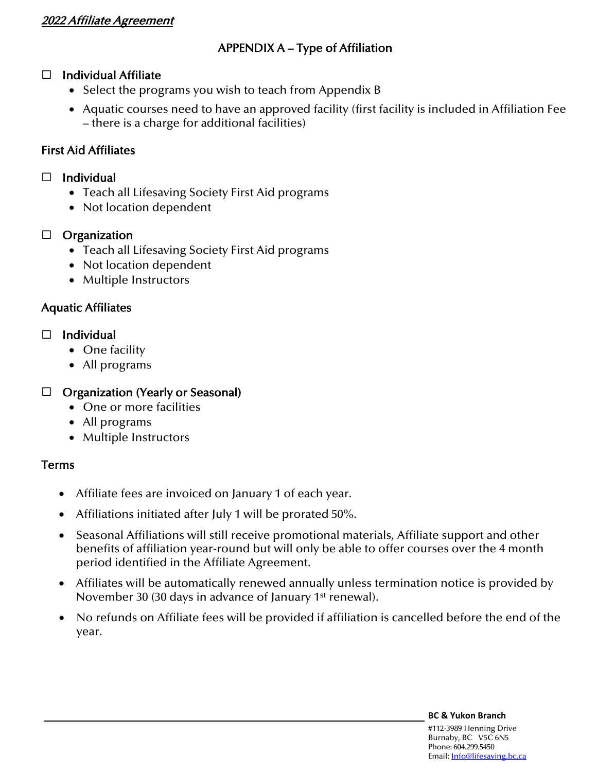## APPENDIX A – Type of Affiliation

#### $\Box$  Individual Affiliate

- Select the programs you wish to teach from Appendix B
- Aquatic courses need to have an approved facility (first facility is included in Affiliation Fee – there is a charge for additional facilities)

#### First Aid Affiliates

#### $\Box$  Individual

- Teach all Lifesaving Society First Aid programs
- Not location dependent

#### $\Box$  Organization

- Teach all Lifesaving Society First Aid programs
- Not location dependent
- Multiple Instructors

#### Aquatic Affiliates

#### $\Box$  Individual

- One facility
- All programs

#### $\Box$  Organization (Yearly or Seasonal)

- One or more facilities
- All programs
- Multiple Instructors

#### Terms

- Affiliate fees are invoiced on January 1 of each year.
- Affiliations initiated after July 1 will be prorated 50%.
- Seasonal Affiliations will still receive promotional materials, Affiliate support and other benefits of affiliation year-round but will only be able to offer courses over the 4 month period identified in the Affiliate Agreement.
- Affiliates will be automatically renewed annually unless termination notice is provided by November 30 (30 days in advance of January 1st renewal).
- No refunds on Affiliate fees will be provided if affiliation is cancelled before the end of the year.

#### **BC & Yukon Branch**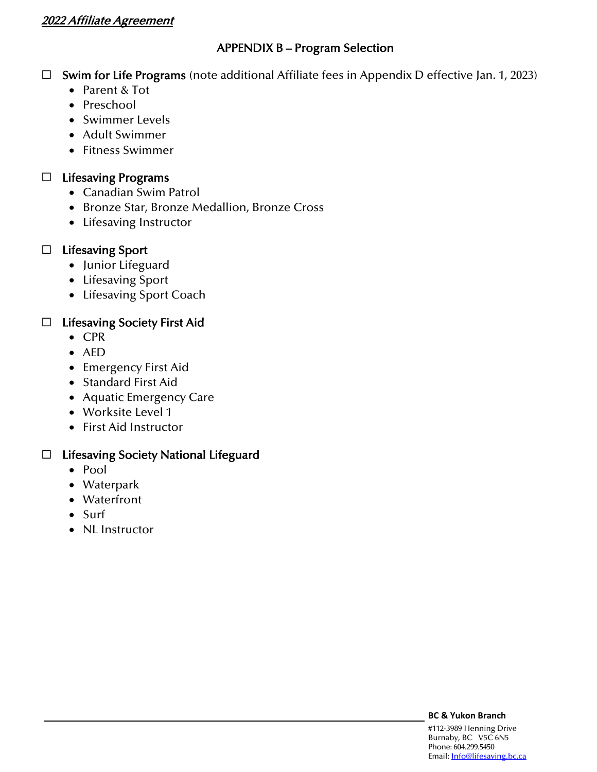#### APPENDIX B – Program Selection

 $\Box$  Swim for Life Programs (note additional Affiliate fees in Appendix D effective Jan. 1, 2023)

- Parent & Tot
- Preschool
- Swimmer Levels
- Adult Swimmer
- Fitness Swimmer

#### $\Box$  Lifesaving Programs

- Canadian Swim Patrol
- Bronze Star, Bronze Medallion, Bronze Cross
- Lifesaving Instructor

#### $\Box$  Lifesaving Sport

- Junior Lifeguard
- Lifesaving Sport
- Lifesaving Sport Coach

#### $\Box$  Lifesaving Society First Aid

- CPR
- AED
- Emergency First Aid
- Standard First Aid
- Aquatic Emergency Care
- Worksite Level 1
- First Aid Instructor

#### $\Box$  Lifesaving Society National Lifeguard

- Pool
- Waterpark
- Waterfront
- Surf
- NL Instructor

#### **BC & Yukon Branch**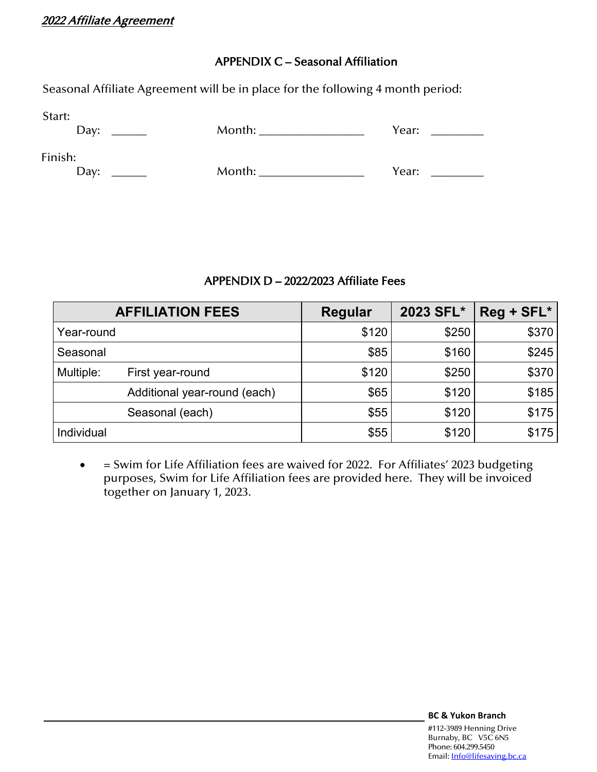#### APPENDIX C – Seasonal Affiliation

Seasonal Affiliate Agreement will be in place for the following 4 month period:

Start:

Day: \_\_\_\_\_\_\_\_ Month: \_\_\_\_\_\_\_\_\_\_\_\_\_\_\_\_\_\_ Year: \_\_\_\_\_\_\_\_\_

Finish:

Day: \_\_\_\_\_\_\_\_ Month: \_\_\_\_\_\_\_\_\_\_\_\_\_\_\_\_\_\_ Year: \_\_\_\_\_\_\_\_\_

## APPENDIX D – 2022/2023 Affiliate Fees

| <b>AFFILIATION FEES</b> |                              | <b>Regular</b> | 2023 SFL* | Reg + SFL* |
|-------------------------|------------------------------|----------------|-----------|------------|
| Year-round              |                              | \$120          | \$250     | \$370      |
| Seasonal                |                              | \$85           | \$160     | \$245      |
| Multiple:               | First year-round             | \$120          | \$250     | \$370      |
|                         | Additional year-round (each) | \$65           | \$120     | \$185      |
|                         | Seasonal (each)              | \$55           | \$120     | \$175      |
| Individual              |                              | \$55           | \$120     | \$175      |

• = Swim for Life Affiliation fees are waived for 2022. For Affiliates' 2023 budgeting purposes, Swim for Life Affiliation fees are provided here. They will be invoiced together on January 1, 2023.

**BC & Yukon Branch**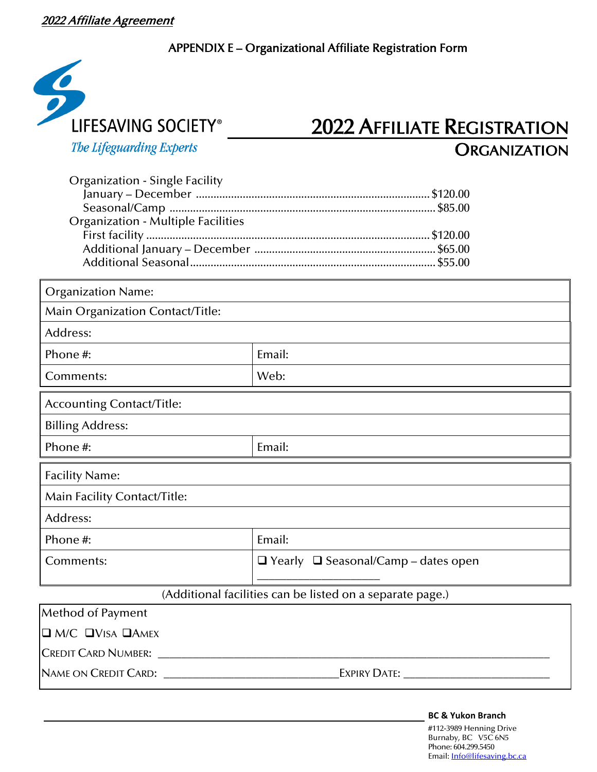APPENDIX E – Organizational Affiliate Registration Form



# 2022 AFFILIATE REGISTRATION **ORGANIZATION**

| <b>Organization - Single Facility</b>     |  |
|-------------------------------------------|--|
|                                           |  |
|                                           |  |
| <b>Organization - Multiple Facilities</b> |  |
|                                           |  |
|                                           |  |
|                                           |  |

| <b>Organization Name:</b>        |                                                 |  |
|----------------------------------|-------------------------------------------------|--|
| Main Organization Contact/Title: |                                                 |  |
| Address:                         |                                                 |  |
| Phone#:                          | Email:                                          |  |
| Comments:                        | Web:                                            |  |
| <b>Accounting Contact/Title:</b> |                                                 |  |
| <b>Billing Address:</b>          |                                                 |  |
| Phone #:                         | Email:                                          |  |
| <b>Facility Name:</b>            |                                                 |  |
| Main Facility Contact/Title:     |                                                 |  |
| Address:                         |                                                 |  |
| Phone#:                          | Email:                                          |  |
|                                  |                                                 |  |
| Comments:                        | $\Box$ Yearly $\Box$ Seasonal/Camp – dates open |  |

| <b>Method of Payment</b>           |                                                                                                      |
|------------------------------------|------------------------------------------------------------------------------------------------------|
| $\Box$ M/C $\Box$ VISA $\Box$ AMEX |                                                                                                      |
|                                    | CREDIT CARD NUMBER: <b>Example 20</b>                                                                |
|                                    | Name on Credit Card: Name of Name of Section 1986.<br>EXPIRY DATE: _________________________________ |

#### **BC & Yukon Branch**

#112-3989 Henning Drive Burnaby, BC V5C 6N5 Phone: 604.299.5450 Email[: Info@lifesaving.bc.ca](mailto:Info@lifesaving.bc.ca)